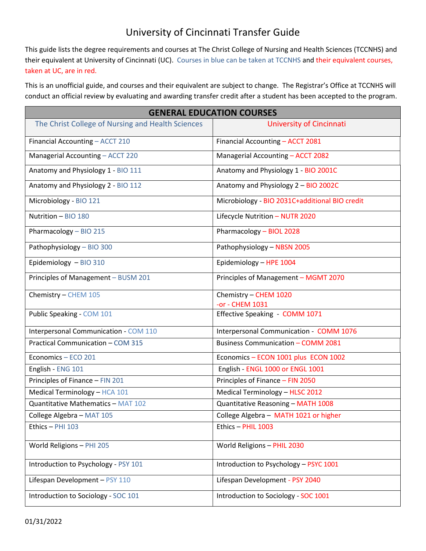## University of Cincinnati Transfer Guide

This guide lists the degree requirements and courses at The Christ College of Nursing and Health Sciences (TCCNHS) and their equivalent at University of Cincinnati (UC). Courses in blue can be taken at TCCNHS and their equivalent courses, taken at UC, are in red.

This is an unofficial guide, and courses and their equivalent are subject to change. The Registrar's Office at TCCNHS will conduct an official review by evaluating and awarding transfer credit after a student has been accepted to the program.

| <b>GENERAL EDUCATION COURSES</b>                  |                                                |
|---------------------------------------------------|------------------------------------------------|
| The Christ College of Nursing and Health Sciences | University of Cincinnati                       |
| Financial Accounting - ACCT 210                   | Financial Accounting - ACCT 2081               |
| Managerial Accounting - ACCT 220                  | Managerial Accounting - ACCT 2082              |
| Anatomy and Physiology 1 - BIO 111                | Anatomy and Physiology 1 - BIO 2001C           |
| Anatomy and Physiology 2 - BIO 112                | Anatomy and Physiology 2 - BIO 2002C           |
| Microbiology - BIO 121                            | Microbiology - BIO 2031C+additional BIO credit |
| Nutrition - BIO 180                               | Lifecycle Nutrition - NUTR 2020                |
| Pharmacology - BIO 215                            | Pharmacology - BIOL 2028                       |
| Pathophysiology - BIO 300                         | Pathophysiology - NBSN 2005                    |
| Epidemiology - BIO 310                            | Epidemiology - HPE 1004                        |
| Principles of Management - BUSM 201               | Principles of Management - MGMT 2070           |
| Chemistry - CHEM 105                              | Chemistry - CHEM 1020<br>-or - CHEM 1031       |
| Public Speaking - COM 101                         | Effective Speaking - COMM 1071                 |
| Interpersonal Communication - COM 110             | Interpersonal Communication - COMM 1076        |
| Practical Communication - COM 315                 | <b>Business Communication - COMM 2081</b>      |
| Economics - ECO 201                               | Economics - ECON 1001 plus ECON 1002           |
| English - ENG 101                                 | English - ENGL 1000 or ENGL 1001               |
| Principles of Finance - FIN 201                   | Principles of Finance - FIN 2050               |
| Medical Terminology - HCA 101                     | Medical Terminology - HLSC 2012                |
| Quantitative Mathematics - MAT 102                | Quantitative Reasoning - MATH 1008             |
| College Algebra - MAT 105                         | College Algebra - MATH 1021 or higher          |
| Ethics - PHI 103                                  | Ethics - PHIL 1003                             |
| World Religions - PHI 205                         | World Religions - PHIL 2030                    |
| Introduction to Psychology - PSY 101              | Introduction to Psychology - PSYC 1001         |
| Lifespan Development - PSY 110                    | Lifespan Development - PSY 2040                |
| Introduction to Sociology - SOC 101               | Introduction to Sociology - SOC 1001           |